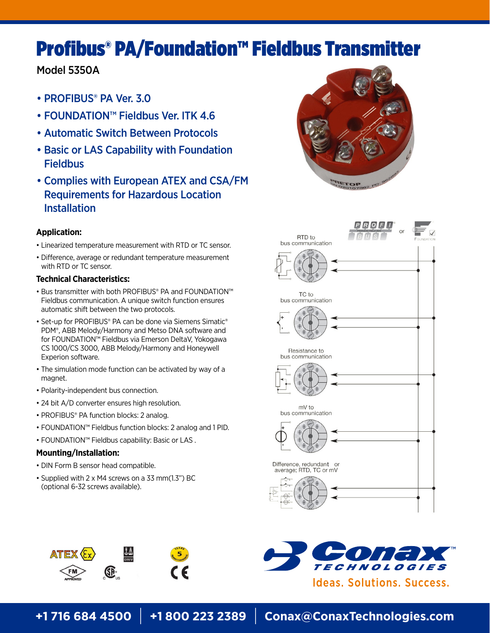# Profibus® PA/Foundation™ Fieldbus Transmitter

# Model 5350A

- PROFIBUS® PA Ver. 3.0
- FOUNDATION™ Fieldbus Ver. ITK 4.6
- Automatic Switch Between Protocols
- Basic or LAS Capability with Foundation **Fieldbus**
- Complies with European ATEX and CSA/FM Requirements for Hazardous Location Installation

## **Application:**

- Linearized temperature measurement with RTD or TC sensor.
- Difference, average or redundant temperature measurement with RTD or TC sensor.

## **Technical Characteristics:**

- Bus transmitter with both PROFIBUS® PA and FOUNDATION™ Fieldbus communication. A unique switch function ensures automatic shift between the two protocols.
- Set-up for PROFIBUS® PA can be done via Siemens Simatic® PDM®, ABB Melody/Harmony and Metso DNA software and for FOUNDATION™ Fieldbus via Emerson DeltaV, Yokogawa CS 1000/CS 3000, ABB Melody/Harmony and Honeywell Experion software.
- The simulation mode function can be activated by way of a magnet.
- Polarity-independent bus connection.
- 24 bit A/D converter ensures high resolution.
- PROFIBUS® PA function blocks: 2 analog.
- FOUNDATION™ Fieldbus function blocks: 2 analog and 1 PID.
- FOUNDATION™ Fieldbus capability: Basic or LAS .

## **Mounting/Installation:**

- DIN Form B sensor head compatible.
- Supplied with 2 x M4 screws on a 33 mm(1.3") BC (optional 6-32 screws available).









**+1 716 684 4500** | **+1 800 223 2389** | **Conax@ConaxTechnologies.com**